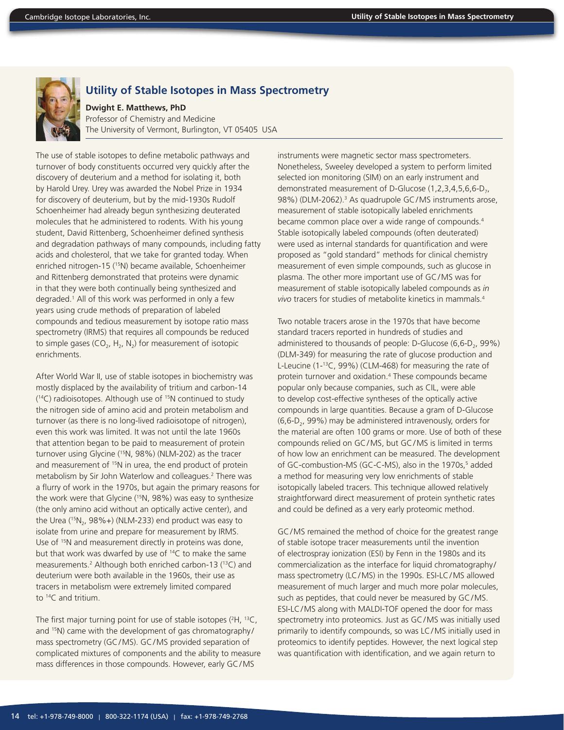

## **Utility of Stable Isotopes in Mass Spectrometry**

**Dwight E. Matthews, PhD** Professor of Chemistry and Medicine The University of Vermont, Burlington, VT 05405 USA

The use of stable isotopes to define metabolic pathways and turnover of body constituents occurred very quickly after the discovery of deuterium and a method for isolating it, both by Harold Urey. Urey was awarded the Nobel Prize in 1934 for discovery of deuterium, but by the mid-1930s Rudolf Schoenheimer had already begun synthesizing deuterated molecules that he administered to rodents. With his young student, David Rittenberg, Schoenheimer defined synthesis and degradation pathways of many compounds, including fatty acids and cholesterol, that we take for granted today. When enriched nitrogen-15 (<sup>15</sup>N) became available, Schoenheimer and Rittenberg demonstrated that proteins were dynamic in that they were both continually being synthesized and degraded.1 All of this work was performed in only a few years using crude methods of preparation of labeled compounds and tedious measurement by isotope ratio mass spectrometry (IRMS) that requires all compounds be reduced to simple gases (CO<sub>2</sub>, H<sub>2</sub>, N<sub>2</sub>) for measurement of isotopic enrichments.

After World War II, use of stable isotopes in biochemistry was mostly displaced by the availability of tritium and carbon-14  $(14)$  radioisotopes. Although use of  $15N$  continued to study the nitrogen side of amino acid and protein metabolism and turnover (as there is no long-lived radioisotope of nitrogen), even this work was limited. It was not until the late 1960s that attention began to be paid to measurement of protein turnover using Glycine (15N, 98%) (NLM-202) as the tracer and measurement of <sup>15</sup>N in urea, the end product of protein metabolism by Sir John Waterlow and colleagues.<sup>2</sup> There was a flurry of work in the 1970s, but again the primary reasons for the work were that Glycine (15N, 98%) was easy to synthesize (the only amino acid without an optically active center), and the Urea  $(^{15}N_{2}$ , 98%+) (NLM-233) end product was easy to isolate from urine and prepare for measurement by IRMS. Use of <sup>15</sup>N and measurement directly in proteins was done, but that work was dwarfed by use of 14C to make the same measurements.<sup>2</sup> Although both enriched carbon-13 (<sup>13</sup>C) and deuterium were both available in the 1960s, their use as tracers in metabolism were extremely limited compared to 14C and tritium.

The first major turning point for use of stable isotopes  $(^{2}H, ^{13}C, ^{13}C)$ and <sup>15</sup>N) came with the development of gas chromatography/ mass spectrometry (GC/MS). GC/MS provided separation of complicated mixtures of components and the ability to measure mass differences in those compounds. However, early GC/MS

instruments were magnetic sector mass spectrometers. Nonetheless, Sweeley developed a system to perform limited selected ion monitoring (SIM) on an early instrument and demonstrated measurement of D-Glucose  $(1,2,3,4,5,6,6-D<sub>7</sub>)$ 98%) (DLM-2062).<sup>3</sup> As quadrupole GC/MS instruments arose, measurement of stable isotopically labeled enrichments became common place over a wide range of compounds.<sup>4</sup> Stable isotopically labeled compounds (often deuterated) were used as internal standards for quantification and were proposed as "gold standard" methods for clinical chemistry measurement of even simple compounds, such as glucose in plasma. The other more important use of GC/MS was for measurement of stable isotopically labeled compounds as *in vivo* tracers for studies of metabolite kinetics in mammals.4

Two notable tracers arose in the 1970s that have become standard tracers reported in hundreds of studies and administered to thousands of people: D-Glucose (6,6-D<sub>2</sub>, 99%) (DLM-349) for measuring the rate of glucose production and L-Leucine (1-13C, 99%) (CLM-468) for measuring the rate of protein turnover and oxidation.4 These compounds became popular only because companies, such as CIL, were able to develop cost-effective syntheses of the optically active compounds in large quantities. Because a gram of D-Glucose  $(6,6-D<sub>2</sub>, 99%)$  may be administered intravenously, orders for the material are often 100 grams or more. Use of both of these compounds relied on GC/MS, but GC/MS is limited in terms of how low an enrichment can be measured. The development of GC-combustion-MS (GC-C-MS), also in the 1970s,<sup>5</sup> added a method for measuring very low enrichments of stable isotopically labeled tracers. This technique allowed relatively straightforward direct measurement of protein synthetic rates and could be defined as a very early proteomic method.

GC/MS remained the method of choice for the greatest range of stable isotope tracer measurements until the invention of electrospray ionization (ESI) by Fenn in the 1980s and its commercialization as the interface for liquid chromatography / mass spectrometry (LC/MS) in the 1990s. ESI-LC/MS allowed measurement of much larger and much more polar molecules, such as peptides, that could never be measured by GC/MS. ESI-LC/MS along with MALDI-TOF opened the door for mass spectrometry into proteomics. Just as GC/MS was initially used primarily to identify compounds, so was LC/MS initially used in proteomics to identify peptides. However, the next logical step was quantification with identification, and we again return to